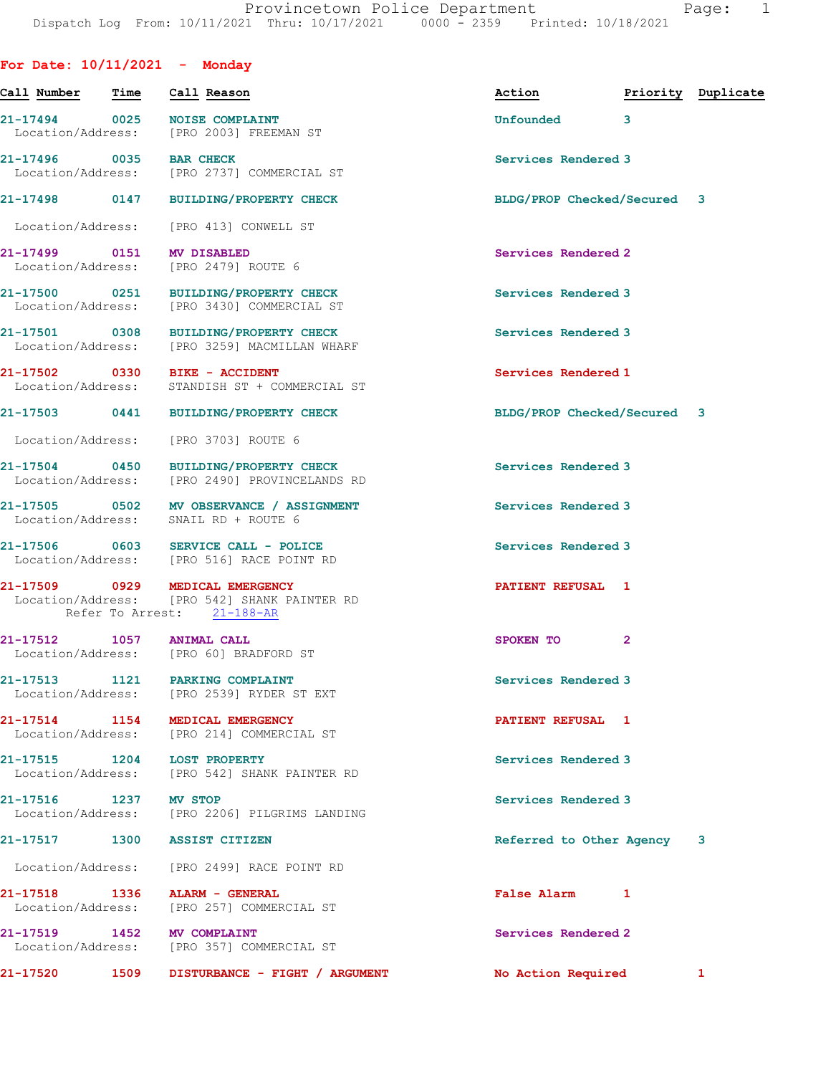For Date: 10/11/2021 - Monday

Call Number Time Call Reason Action Priority Duplicate 21-17494 0025 NOISE COMPLAINT<br>
Location/Address: [PRO 2003] FREEMAN ST Location/Address: 21-17496 0035 BAR CHECK Services Rendered 3 Location/Address: [PRO 2737] COMMERCIAL ST 21-17498 0147 BUILDING/PROPERTY CHECK BLDG/PROP Checked/Secured 3 Location/Address: [PRO 413] CONWELL ST 21-17499 0151 MV DISABLED Services Rendered 2 Location/Address: [PRO 2479] ROUTE 6 21-17500 0251 BUILDING/PROPERTY CHECK Services Rendered 3 Location/Address: [PRO 3430] COMMERCIAL ST 21-17501 0308 BUILDING/PROPERTY CHECK Services Rendered 3 Location/Address: [PRO 3259] MACMILLAN WHARF 21-17502 0330 BIKE - ACCIDENT<br>
Location/Address: STANDISH ST + COMMERCIAL ST STANDISH ST + COMMERCIAL ST 21-17503 0441 BUILDING/PROPERTY CHECK BLDG/PROP Checked/Secured 3 Location/Address: [PRO 3703] ROUTE 6 21-17504 0450 BUILDING/PROPERTY CHECK Services Rendered 3 Location/Address: [PRO 2490] PROVINCELANDS RD 21-17505 0502 MV OBSERVANCE / ASSIGNMENT Services Rendered 3 Location/Address: SNAIL RD + ROUTE 6 21-17506 0603 SERVICE CALL - POLICE Services Rendered 3 Location/Address: [PRO 516] RACE POINT RD 21-17509 0929 MEDICAL EMERGENCY PATIENT REFUSAL 1 Location/Address: [PRO 542] SHANK PAINTER RD Refer To Arrest: 21-188-AR 21-17512 1057 ANIMAL CALL SPOKEN TO 2 Location/Address: [PRO 60] BRADFORD ST 21-17513 1121 PARKING COMPLAINT Services Rendered 3 Location/Address: [PRO 2539] RYDER ST EXT 21-17514 1154 MEDICAL EMERGENCY **121-17514** PATIENT REFUSAL 1 Location/Address: [PRO 214] COMMERCIAL ST 21-17515 1204 LOST PROPERTY Services Rendered 3 Location/Address: [PRO 542] SHANK PAINTER RD 21-17516 1237 MV STOP Services Rendered 3 Location/Address: [PRO 2206] PILGRIMS LANDING 21-17517 1300 ASSIST CITIZEN Referred to Other Agency 3 Location/Address: [PRO 2499] RACE POINT RD 21-17518 1336 ALARM - GENERAL False Alarm 1 [PRO 257] COMMERCIAL ST 21-17519 1452 MV COMPLAINT<br>
Location/Address: [PRO 357] COMMERCIAL ST [PRO 357] COMMERCIAL ST 21-17520 1509 DISTURBANCE - FIGHT / ARGUMENT No Action Required 1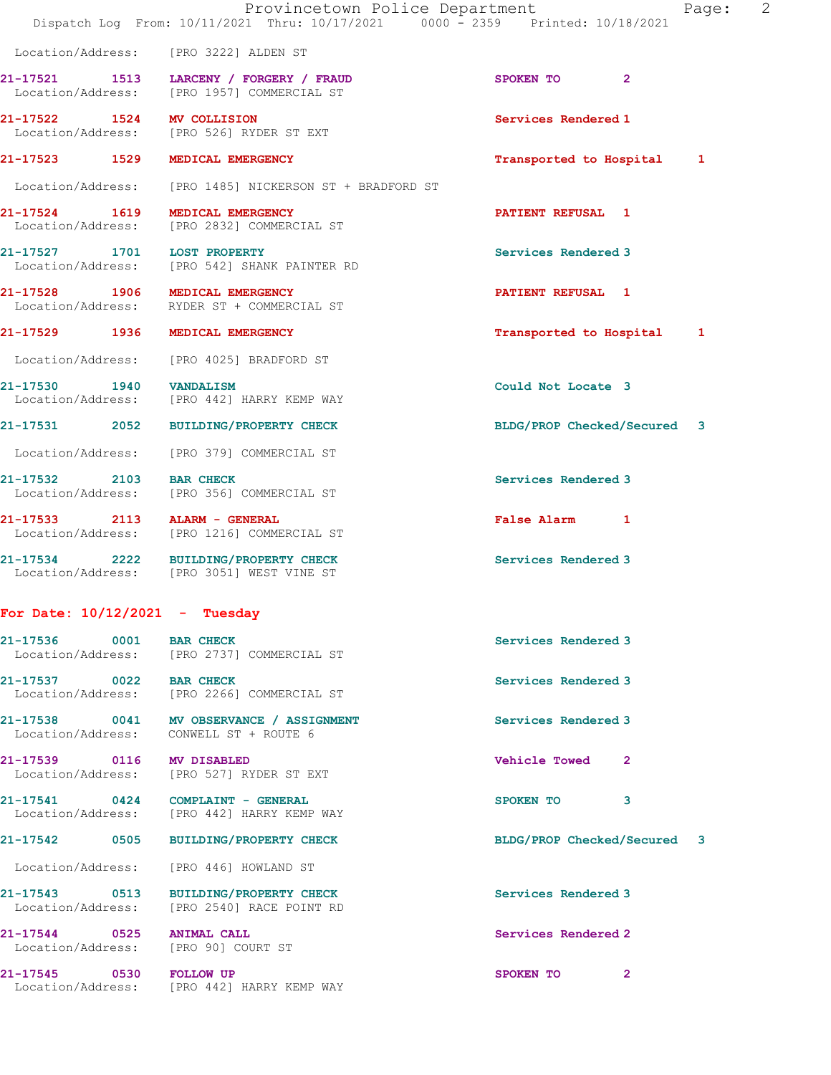|                                  | Provincetown Police Department<br>Dispatch Log From: 10/11/2021 Thru: 10/17/2021 0000 - 2359 Printed: 10/18/2021 | Page:                       | 2 |
|----------------------------------|------------------------------------------------------------------------------------------------------------------|-----------------------------|---|
|                                  | Location/Address: [PRO 3222] ALDEN ST                                                                            |                             |   |
|                                  | 21-17521 1513 LARCENY / FORGERY / FRAUD<br>Location/Address: [PRO 1957] COMMERCIAL ST                            | SPOKEN TO<br>$\mathbf{2}$   |   |
| 21-17522 1524 MV COLLISION       | Location/Address: [PRO 526] RYDER ST EXT                                                                         | Services Rendered 1         |   |
| 21-17523 1529 MEDICAL EMERGENCY  |                                                                                                                  | Transported to Hospital 1   |   |
|                                  | Location/Address: [PRO 1485] NICKERSON ST + BRADFORD ST                                                          |                             |   |
| 21-17524 1619 MEDICAL EMERGENCY  | Location/Address: [PRO 2832] COMMERCIAL ST                                                                       | <b>PATIENT REFUSAL 1</b>    |   |
| 21-17527 1701 LOST PROPERTY      | Location/Address: [PRO 542] SHANK PAINTER RD                                                                     | Services Rendered 3         |   |
| 21-17528 1906 MEDICAL EMERGENCY  | Location/Address: RYDER ST + COMMERCIAL ST                                                                       | PATIENT REFUSAL 1           |   |
| 21-17529 1936 MEDICAL EMERGENCY  |                                                                                                                  | Transported to Hospital 1   |   |
|                                  | Location/Address: [PRO 4025] BRADFORD ST                                                                         |                             |   |
| 21-17530 1940 VANDALISM          | Location/Address: [PRO 442] HARRY KEMP WAY                                                                       | Could Not Locate 3          |   |
|                                  | 21-17531 2052 BUILDING/PROPERTY CHECK                                                                            | BLDG/PROP Checked/Secured 3 |   |
|                                  | Location/Address: [PRO 379] COMMERCIAL ST                                                                        |                             |   |
| 21-17532 2103 BAR CHECK          | Location/Address: [PRO 356] COMMERCIAL ST                                                                        | Services Rendered 3         |   |
| 21-17533 2113 ALARM - GENERAL    | Location/Address: [PRO 1216] COMMERCIAL ST                                                                       | False Alarm 1               |   |
|                                  | 21-17534 2222 BUILDING/PROPERTY CHECK<br>Location/Address: [PRO 3051] WEST VINE ST                               | Services Rendered 3         |   |
| For Date: $10/12/2021$ - Tuesday |                                                                                                                  |                             |   |
| 21-17536 0001 BAR CHECK          | Location/Address: [PRO 2737] COMMERCIAL ST                                                                       | Services Rendered 3         |   |
| 21-17537 0022 BAR CHECK          | Location/Address: [PRO 2266] COMMERCIAL ST                                                                       | Services Rendered 3         |   |
|                                  | 21-17538 0041 MV OBSERVANCE / ASSIGNMENT<br>Location/Address: CONWELL ST + ROUTE 6                               | Services Rendered 3         |   |
| 21-17539 0116 MV DISABLED        | Location/Address: [PRO 527] RYDER ST EXT                                                                         | <b>Vehicle Towed</b><br>-2  |   |
|                                  | 21-17541 0424 COMPLAINT - GENERAL<br>Location/Address: [PRO 442] HARRY KEMP WAY                                  | SPOKEN TO<br>3              |   |
|                                  | 21-17542 0505 BUILDING/PROPERTY CHECK                                                                            | BLDG/PROP Checked/Secured 3 |   |
|                                  | Location/Address: [PRO 446] HOWLAND ST                                                                           |                             |   |
|                                  | 21-17543 0513 BUILDING/PROPERTY CHECK<br>Location/Address: [PRO 2540] RACE POINT RD                              | Services Rendered 3         |   |

21-17544 0525 ANIMAL CALL Services Rendered 2 Location/Address: [PRO 90] COURT ST

21-17545 0530 FOLLOW UP 2012 121-17545 2008 21 Location/Address: [PRO 442] HARRY KEMP WAY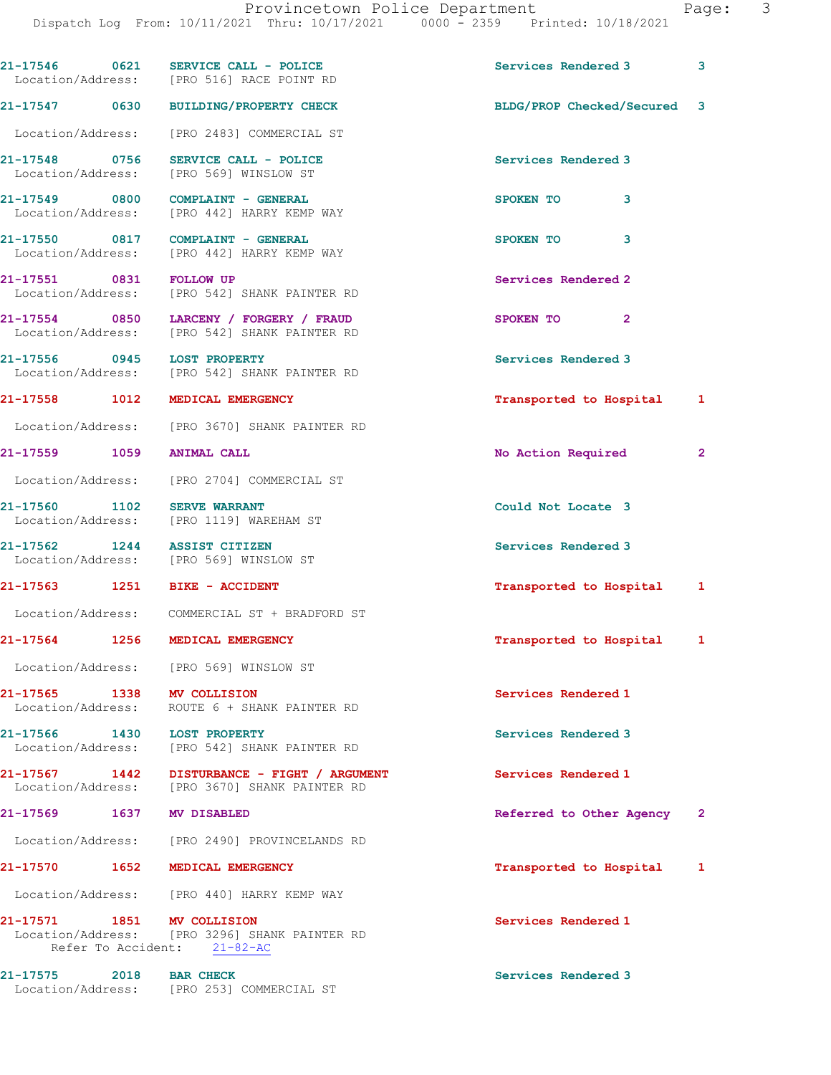Dispatch Log From: 10/11/2021 Thru: 10/17/2021 0000 - 2359 Printed: 10/18/2021

|                         |      | $21-17546$ 0621 SERVICE CALL - POLICE<br>Location/Address: [PRO 516] RACE POINT RD                         | Services Rendered 3         | 3            |
|-------------------------|------|------------------------------------------------------------------------------------------------------------|-----------------------------|--------------|
| 21-17547 0630           |      | <b>BUILDING/PROPERTY CHECK</b>                                                                             | BLDG/PROP Checked/Secured 3 |              |
|                         |      | Location/Address: [PRO 2483] COMMERCIAL ST                                                                 |                             |              |
|                         |      | 21-17548 0756 SERVICE CALL - POLICE<br>Location/Address: [PRO 569] WINSLOW ST                              | Services Rendered 3         |              |
|                         |      | 21-17549 0800 COMPLAINT - GENERAL<br>Location/Address: [PRO 442] HARRY KEMP WAY                            | 3<br>SPOKEN TO              |              |
|                         |      | 21-17550 0817 COMPLAINT - GENERAL<br>Location/Address: [PRO 442] HARRY KEMP WAY                            | 3<br>SPOKEN TO              |              |
| 21-17551 0831 FOLLOW UP |      | Location/Address: [PRO 542] SHANK PAINTER RD                                                               | Services Rendered 2         |              |
|                         |      | 21-17554 0850 LARCENY / FORGERY / FRAUD<br>Location/Address: [PRO 542] SHANK PAINTER RD                    | SPOKEN TO<br>$\mathbf{2}$   |              |
|                         |      | 21-17556 0945 LOST PROPERTY<br>Location/Address: [PRO 542] SHANK PAINTER RD                                | Services Rendered 3         |              |
| 21-17558 1012           |      | MEDICAL EMERGENCY                                                                                          | Transported to Hospital 1   |              |
|                         |      | Location/Address: [PRO 3670] SHANK PAINTER RD                                                              |                             |              |
|                         |      | 21-17559 1059 ANIMAL CALL                                                                                  | No Action Required          | $\mathbf{2}$ |
|                         |      | Location/Address: [PRO 2704] COMMERCIAL ST                                                                 |                             |              |
| 21-17560 1102           |      | <b>SERVE WARRANT</b><br>Location/Address: [PRO 1119] WAREHAM ST                                            | Could Not Locate 3          |              |
|                         |      | 21-17562 1244 ASSIST CITIZEN<br>Location/Address: [PRO 569] WINSLOW ST                                     | Services Rendered 3         |              |
|                         |      | 21-17563 1251 BIKE - ACCIDENT                                                                              | Transported to Hospital 1   |              |
|                         |      | Location/Address: COMMERCIAL ST + BRADFORD ST                                                              |                             |              |
| 21-17564 1256           |      | MEDICAL EMERGENCY                                                                                          | Transported to Hospital 1   |              |
|                         |      | Location/Address: [PRO 569] WINSLOW ST                                                                     |                             |              |
|                         |      | 21-17565 1338 MV COLLISION<br>Location/Address: ROUTE 6 + SHANK PAINTER RD                                 | Services Rendered 1         |              |
|                         |      | 21-17566 1430 LOST PROPERTY<br>Location/Address: [PRO 542] SHANK PAINTER RD                                | Services Rendered 3         |              |
|                         |      | 21-17567   1442   DISTURBANCE - FIGHT / ARGUMENT<br>Location/Address: [PRO 3670] SHANK PAINTER RD          | Services Rendered 1         |              |
| 21-17569                | 1637 | MV DISABLED                                                                                                | Referred to Other Agency    | $\mathbf{2}$ |
|                         |      | Location/Address: [PRO 2490] PROVINCELANDS RD                                                              |                             |              |
|                         |      | 21-17570 1652 MEDICAL EMERGENCY                                                                            | Transported to Hospital 1   |              |
|                         |      | Location/Address: [PRO 440] HARRY KEMP WAY                                                                 |                             |              |
|                         |      | 21-17571 1851 MV COLLISION<br>Location/Address: [PRO 3296] SHANK PAINTER RD<br>Refer To Accident: 21-82-AC | Services Rendered 1         |              |
| 21-17575                |      | 2018 BAR CHECK<br>Location/Address: [PRO 253] COMMERCIAL ST                                                | Services Rendered 3         |              |
|                         |      |                                                                                                            |                             |              |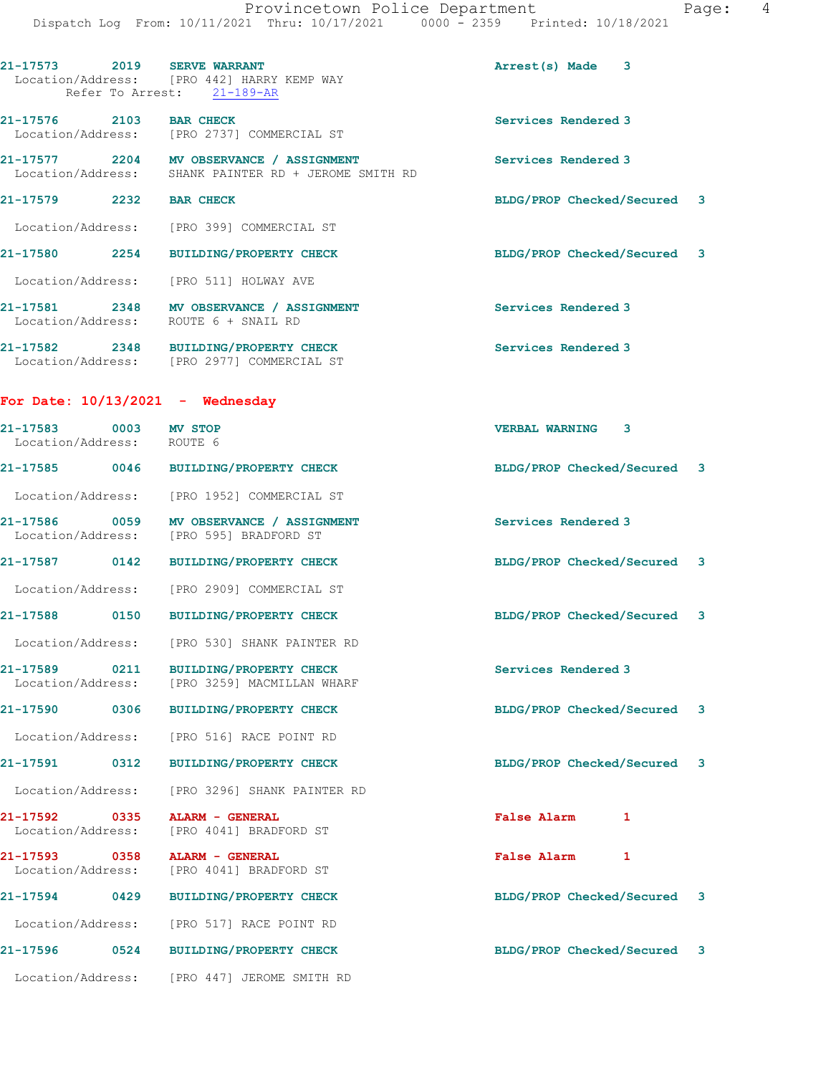| 21-17573 2019 SERVE WARRANT                        |      | Location/Address: [PRO 442] HARRY KEMP WAY<br>Refer To Arrest: 21-189-AR                         | Arrest(s) Made 3            |   |  |
|----------------------------------------------------|------|--------------------------------------------------------------------------------------------------|-----------------------------|---|--|
| 21-17576 2103 BAR CHECK                            |      | Location/Address: [PRO 2737] COMMERCIAL ST                                                       | Services Rendered 3         |   |  |
|                                                    |      | 21-17577 2204 MV OBSERVANCE / ASSIGNMENT<br>Location/Address: SHANK PAINTER RD + JEROME SMITH RD | Services Rendered 3         |   |  |
| 21-17579 2232 BAR CHECK                            |      |                                                                                                  | BLDG/PROP Checked/Secured 3 |   |  |
|                                                    |      | Location/Address: [PRO 399] COMMERCIAL ST                                                        |                             |   |  |
|                                                    |      | 21-17580 2254 BUILDING/PROPERTY CHECK                                                            | BLDG/PROP Checked/Secured 3 |   |  |
|                                                    |      | Location/Address: [PRO 511] HOLWAY AVE                                                           |                             |   |  |
|                                                    |      | 21-17581 2348 MV OBSERVANCE / ASSIGNMENT<br>Location/Address: ROUTE 6 + SNAIL RD                 | Services Rendered 3         |   |  |
|                                                    |      | 21-17582 2348 BUILDING/PROPERTY CHECK<br>Location/Address: [PRO 2977] COMMERCIAL ST              | Services Rendered 3         |   |  |
| For Date: $10/13/2021$ - Wednesday                 |      |                                                                                                  |                             |   |  |
| 21-17583 0003 MV STOP<br>Location/Address: ROUTE 6 |      |                                                                                                  | <b>VERBAL WARNING 3</b>     |   |  |
|                                                    |      | 21-17585 0046 BUILDING/PROPERTY CHECK                                                            | BLDG/PROP Checked/Secured 3 |   |  |
|                                                    |      | Location/Address: [PRO 1952] COMMERCIAL ST                                                       |                             |   |  |
|                                                    |      | 21-17586 0059 MV OBSERVANCE / ASSIGNMENT<br>Location/Address: [PRO 595] BRADFORD ST              | Services Rendered 3         |   |  |
|                                                    |      | 21-17587 0142 BUILDING/PROPERTY CHECK                                                            | BLDG/PROP Checked/Secured 3 |   |  |
|                                                    |      | Location/Address: [PRO 2909] COMMERCIAL ST                                                       |                             |   |  |
|                                                    |      | 21-17588 0150 BUILDING/PROPERTY CHECK                                                            | BLDG/PROP Checked/Secured 3 |   |  |
|                                                    |      | Location/Address: [PRO 530] SHANK PAINTER RD                                                     |                             |   |  |
| $21 - 17589$<br>Location/Address:                  | 0211 | <b>BUILDING/PROPERTY CHECK</b><br>[PRO 3259] MACMILLAN WHARF                                     | Services Rendered 3         |   |  |
| 21-17590<br>0306                                   |      | BUILDING/PROPERTY CHECK                                                                          | BLDG/PROP Checked/Secured 3 |   |  |
| Location/Address:                                  |      | [PRO 516] RACE POINT RD                                                                          |                             |   |  |
| 21-17591                                           | 0312 | <b>BUILDING/PROPERTY CHECK</b>                                                                   | BLDG/PROP Checked/Secured 3 |   |  |
| Location/Address:                                  |      | [PRO 3296] SHANK PAINTER RD                                                                      |                             |   |  |
| 21-17592 0335<br>Location/Address:                 |      | ALARM - GENERAL<br>[PRO 4041] BRADFORD ST                                                        | <b>False Alarm</b>          | 1 |  |
| 21-17593<br>0358<br>Location/Address:              |      | ALARM - GENERAL<br>[PRO 4041] BRADFORD ST                                                        | <b>False Alarm</b>          | 1 |  |
| 21-17594                                           | 0429 | <b>BUILDING/PROPERTY CHECK</b>                                                                   | BLDG/PROP Checked/Secured 3 |   |  |
| Location/Address:                                  |      | [PRO 517] RACE POINT RD                                                                          |                             |   |  |
| 21-17596                                           | 0524 | <b>BUILDING/PROPERTY CHECK</b>                                                                   | BLDG/PROP Checked/Secured 3 |   |  |
| Location/Address:                                  |      | [PRO 447] JEROME SMITH RD                                                                        |                             |   |  |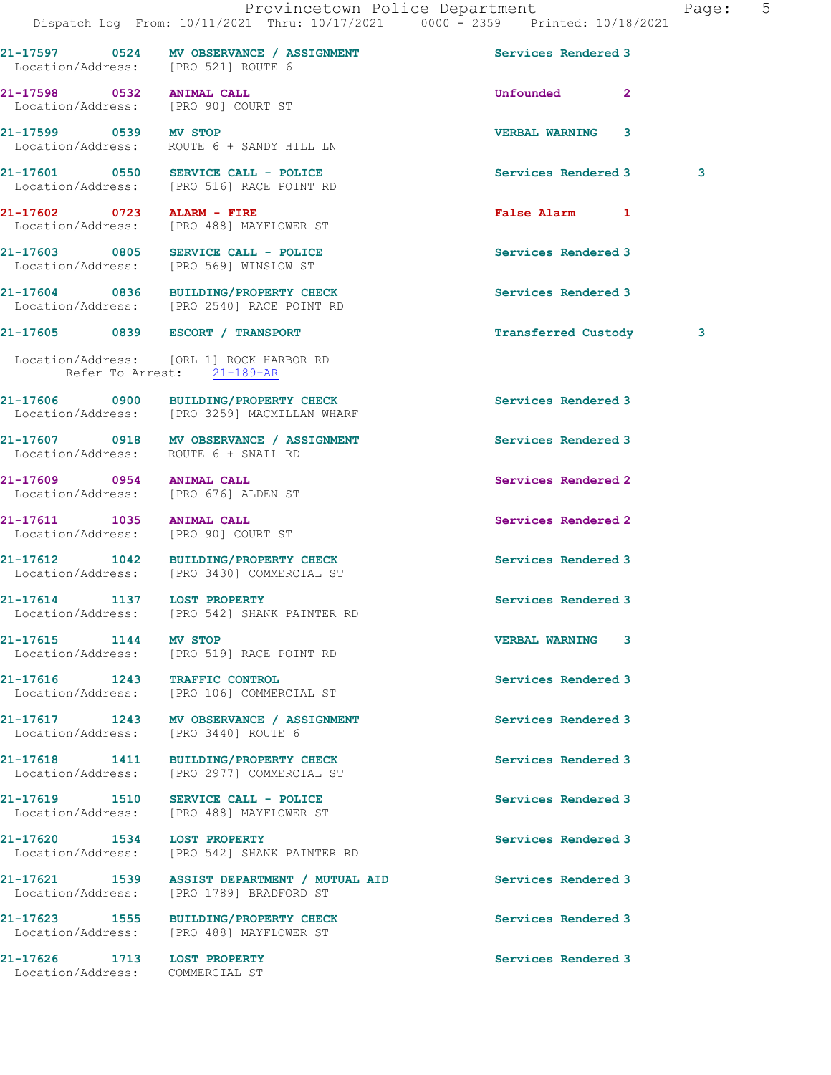|                                                                   | Dispatch Log From: 10/11/2021 Thru: 10/17/2021 0000 - 2359 Printed: 10/18/2021           |                         |                         |
|-------------------------------------------------------------------|------------------------------------------------------------------------------------------|-------------------------|-------------------------|
|                                                                   | 21-17597 0524 MV OBSERVANCE / ASSIGNMENT<br>Location/Address: [PRO 521] ROUTE 6          | Services Rendered 3     |                         |
| 21-17598 0532 ANIMAL CALL<br>Location/Address: [PRO 90] COURT ST  |                                                                                          | Unfounded 2             |                         |
| 21-17599 0539 MV STOP                                             | Location/Address: ROUTE 6 + SANDY HILL LN                                                | <b>VERBAL WARNING 3</b> |                         |
|                                                                   | 21-17601 0550 SERVICE CALL - POLICE<br>Location/Address: [PRO 516] RACE POINT RD         | Services Rendered 3     | $\overline{\mathbf{3}}$ |
| 21-17602 0723 ALARM - FIRE                                        | Location/Address: [PRO 488] MAYFLOWER ST                                                 | False Alarm 1           |                         |
|                                                                   | 21-17603 0805 SERVICE CALL - POLICE<br>Location/Address: [PRO 569] WINSLOW ST            | Services Rendered 3     |                         |
|                                                                   | 21-17604 0836 BUILDING/PROPERTY CHECK<br>Location/Address: [PRO 2540] RACE POINT RD      | Services Rendered 3     |                         |
|                                                                   | 21-17605 0839 ESCORT / TRANSPORT                                                         | Transferred Custody 3   |                         |
| Refer To Arrest: 21-189-AR                                        | Location/Address: [ORL 1] ROCK HARBOR RD                                                 |                         |                         |
|                                                                   | 21-17606 0900 BUILDING/PROPERTY CHECK<br>Location/Address: [PRO 3259] MACMILLAN WHARF    | Services Rendered 3     |                         |
| Location/Address: ROUTE 6 + SNAIL RD                              | 21-17607 0918 MV OBSERVANCE / ASSIGNMENT                                                 | Services Rendered 3     |                         |
| 21-17609 0954 ANIMAL CALL<br>Location/Address: [PRO 676] ALDEN ST |                                                                                          | Services Rendered 2     |                         |
| 21-17611 1035 ANIMAL CALL                                         | Location/Address: [PRO 90] COURT ST                                                      | Services Rendered 2     |                         |
|                                                                   | 21-17612 1042 BUILDING/PROPERTY CHECK<br>Location/Address: [PRO 3430] COMMERCIAL ST      | Services Rendered 3     |                         |
| 21-17614 1137 LOST PROPERTY                                       | Location/Address: [PRO 542] SHANK PAINTER RD                                             | Services Rendered 3     |                         |
| 21-17615 1144                                                     | MV STOP<br>Location/Address: [PRO 519] RACE POINT RD                                     | <b>VERBAL WARNING 3</b> |                         |
| 21-17616 1243 TRAFFIC CONTROL                                     | Location/Address: [PRO 106] COMMERCIAL ST                                                | Services Rendered 3     |                         |
| Location/Address: [PRO 3440] ROUTE 6                              | 21-17617 1243 MV OBSERVANCE / ASSIGNMENT                                                 | Services Rendered 3     |                         |
|                                                                   | 21-17618 1411 BUILDING/PROPERTY CHECK<br>Location/Address: [PRO 2977] COMMERCIAL ST      | Services Rendered 3     |                         |
| 21-17619 1510                                                     | SERVICE CALL - POLICE<br>Location/Address: [PRO 488] MAYFLOWER ST                        | Services Rendered 3     |                         |
| 21-17620 1534                                                     | <b>LOST PROPERTY</b><br>Location/Address: [PRO 542] SHANK PAINTER RD                     | Services Rendered 3     |                         |
|                                                                   | 21-17621 1539 ASSIST DEPARTMENT / MUTUAL AID<br>Location/Address: [PRO 1789] BRADFORD ST | Services Rendered 3     |                         |
|                                                                   | 21-17623 1555 BUILDING/PROPERTY CHECK<br>Location/Address: [PRO 488] MAYFLOWER ST        | Services Rendered 3     |                         |
| 21-17626 1713 LOST PROPERTY<br>Location/Address: COMMERCIAL ST    |                                                                                          | Services Rendered 3     |                         |
|                                                                   |                                                                                          |                         |                         |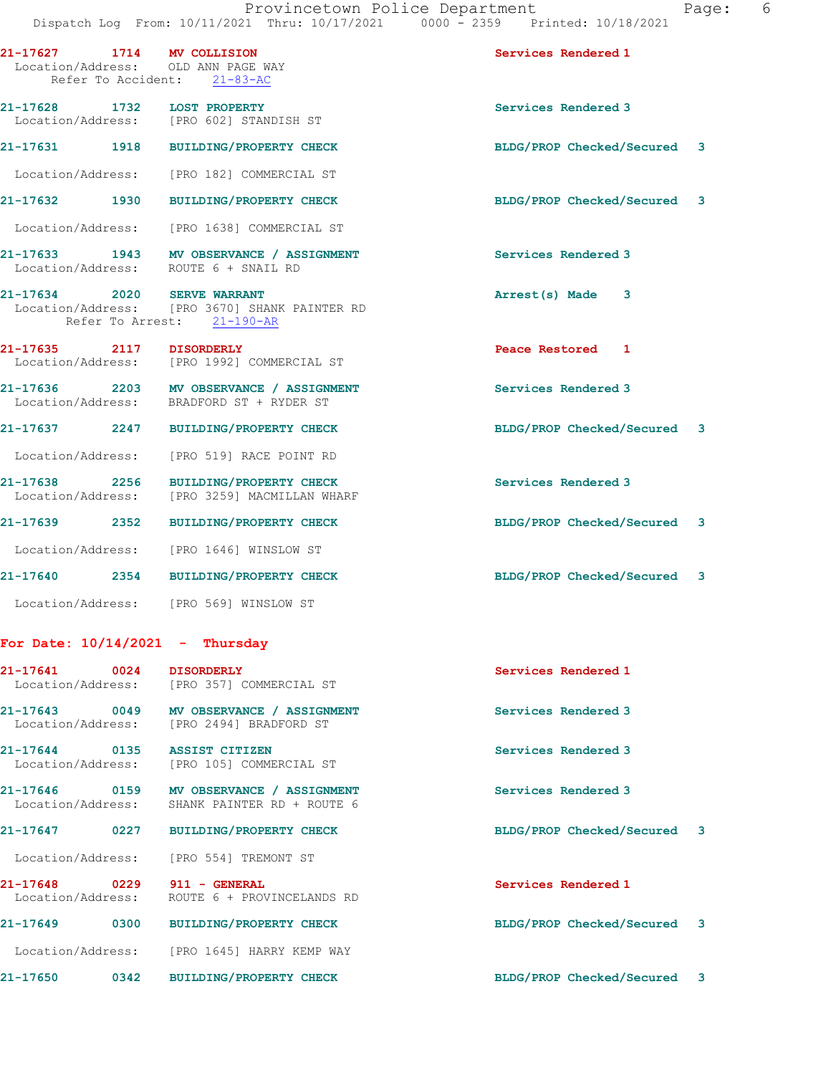| 21-17627 1714 MV COLLISION         | Location/Address: OLD ANN PAGE WAY<br>Refer To Accident: 21-83-AC                                          | Services Rendered 1         |  |
|------------------------------------|------------------------------------------------------------------------------------------------------------|-----------------------------|--|
|                                    | 21-17628 1732 LOST PROPERTY<br>Location/Address: [PRO 602] STANDISH ST                                     | Services Rendered 3         |  |
|                                    | 21-17631 1918 BUILDING/PROPERTY CHECK                                                                      | BLDG/PROP Checked/Secured 3 |  |
| Location/Address:                  | [PRO 182] COMMERCIAL ST                                                                                    |                             |  |
|                                    | 21-17632 1930 BUILDING/PROPERTY CHECK                                                                      | BLDG/PROP Checked/Secured 3 |  |
| Location/Address:                  | [PRO 1638] COMMERCIAL ST                                                                                   |                             |  |
|                                    | 21-17633 1943 MV OBSERVANCE / ASSIGNMENT<br>Location/Address: ROUTE 6 + SNAIL RD                           | Services Rendered 3         |  |
|                                    | 21-17634 2020 SERVE WARRANT<br>Location/Address: [PRO 3670] SHANK PAINTER RD<br>Refer To Arrest: 21-190-AR | Arrest(s) Made 3            |  |
| 21-17635 2117 DISORDERLY           | Location/Address: [PRO 1992] COMMERCIAL ST                                                                 | Peace Restored 1            |  |
|                                    | 21-17636 2203 MV OBSERVANCE / ASSIGNMENT<br>Location/Address: BRADFORD ST + RYDER ST                       | Services Rendered 3         |  |
|                                    | 21-17637 2247 BUILDING/PROPERTY CHECK                                                                      | BLDG/PROP Checked/Secured 3 |  |
| Location/Address:                  | [PRO 519] RACE POINT RD                                                                                    |                             |  |
| 21-17638 2256<br>Location/Address: | <b>BUILDING/PROPERTY CHECK</b><br>[PRO 3259] MACMILLAN WHARF                                               | Services Rendered 3         |  |
| 21–17639 2352                      | <b>BUILDING/PROPERTY CHECK</b>                                                                             | BLDG/PROP Checked/Secured 3 |  |
| Location/Address:                  | [PRO 1646] WINSLOW ST                                                                                      |                             |  |
|                                    | 21-17640 2354 BUILDING/PROPERTY CHECK                                                                      | BLDG/PROP Checked/Secured 3 |  |
|                                    | Location/Address: [PRO 569] WINSLOW ST                                                                     |                             |  |
|                                    | For Date: $10/14/2021$ - Thursday                                                                          |                             |  |
| 21-17641 0024                      | <b>DISORDERLY</b><br>Location/Address: [PRO 357] COMMERCIAL ST                                             | Services Rendered 1         |  |
|                                    | 21-17643 0049 MV OBSERVANCE / ASSIGNMENT<br>Location/Address: [PRO 2494] BRADFORD ST                       | Services Rendered 3         |  |
|                                    | 21-17644 0135 ASSIST CITIZEN<br>Location/Address: [PRO 105] COMMERCIAL ST                                  | Services Rendered 3         |  |
| Location/Address:                  | 21-17646 0159 MV OBSERVANCE / ASSIGNMENT<br>SHANK PAINTER RD + ROUTE 6                                     | Services Rendered 3         |  |
|                                    | 21-17647 0227 BUILDING/PROPERTY CHECK                                                                      | BLDG/PROP Checked/Secured 3 |  |
|                                    | Location/Address: [PRO 554] TREMONT ST                                                                     |                             |  |
|                                    | 21-17648 0229 911 - GENERAL<br>Location/Address: ROUTE 6 + PROVINCELANDS RD                                | Services Rendered 1         |  |
|                                    | 21-17649 0300 BUILDING/PROPERTY CHECK                                                                      | BLDG/PROP Checked/Secured 3 |  |
|                                    | Location/Address: [PRO 1645] HARRY KEMP WAY                                                                |                             |  |
|                                    | 21-17650 0342 BUILDING/PROPERTY CHECK                                                                      | BLDG/PROP Checked/Secured 3 |  |
|                                    |                                                                                                            |                             |  |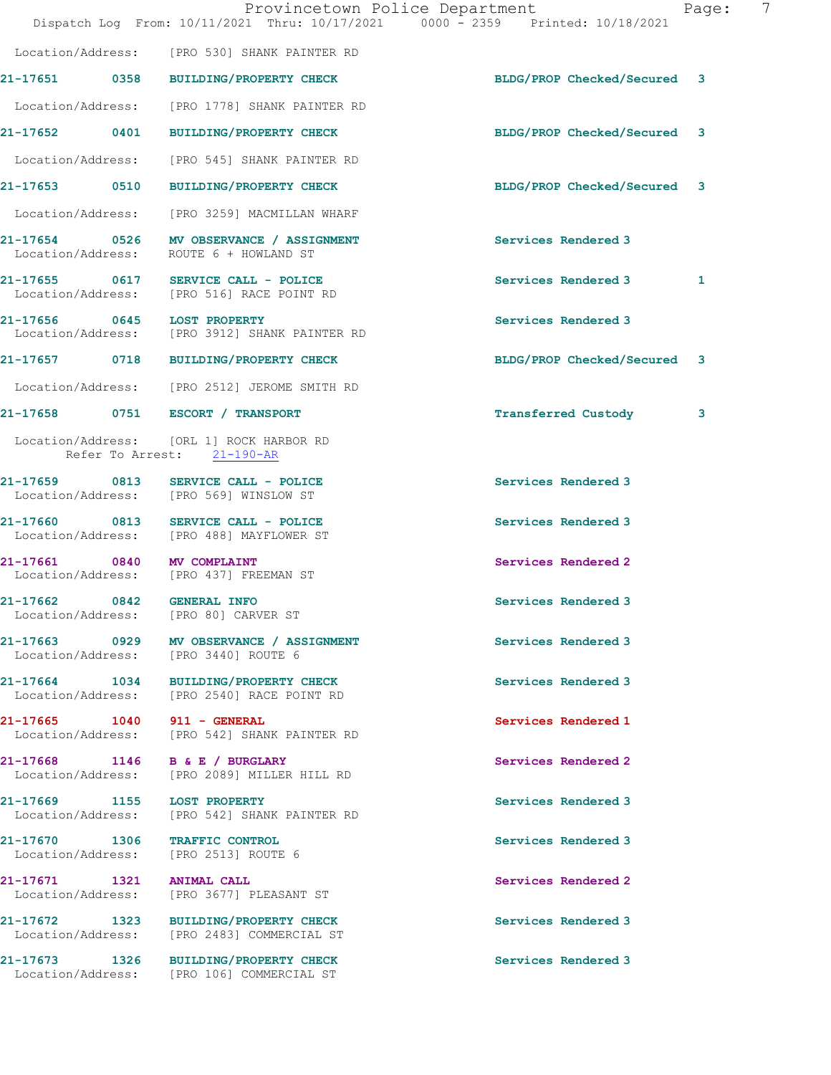|          |                           |                                                                                     | Provincetown Police Department<br>Dispatch Log From: 10/11/2021 Thru: 10/17/2021 0000 - 2359 Printed: 10/18/2021 | Page: | 7 |
|----------|---------------------------|-------------------------------------------------------------------------------------|------------------------------------------------------------------------------------------------------------------|-------|---|
|          |                           | Location/Address: [PRO 530] SHANK PAINTER RD                                        |                                                                                                                  |       |   |
|          |                           | 21-17651 0358 BUILDING/PROPERTY CHECK                                               | BLDG/PROP Checked/Secured 3                                                                                      |       |   |
|          |                           | Location/Address: [PRO 1778] SHANK PAINTER RD                                       |                                                                                                                  |       |   |
|          |                           | 21-17652 0401 BUILDING/PROPERTY CHECK                                               | BLDG/PROP Checked/Secured 3                                                                                      |       |   |
|          |                           | Location/Address: [PRO 545] SHANK PAINTER RD                                        |                                                                                                                  |       |   |
|          |                           | 21-17653 0510 BUILDING/PROPERTY CHECK                                               | BLDG/PROP Checked/Secured 3                                                                                      |       |   |
|          |                           | Location/Address: [PRO 3259] MACMILLAN WHARF                                        |                                                                                                                  |       |   |
|          | Location/Address:         | 21-17654 0526 MV OBSERVANCE / ASSIGNMENT<br>ROUTE 6 + HOWLAND ST                    | Services Rendered 3                                                                                              |       |   |
|          |                           | 21-17655 0617 SERVICE CALL - POLICE<br>Location/Address: [PRO 516] RACE POINT RD    | Services Rendered 3                                                                                              | 1     |   |
|          |                           | 21-17656 0645 LOST PROPERTY<br>Location/Address: [PRO 3912] SHANK PAINTER RD        | Services Rendered 3                                                                                              |       |   |
|          |                           | 21-17657 0718 BUILDING/PROPERTY CHECK                                               | BLDG/PROP Checked/Secured 3                                                                                      |       |   |
|          |                           | Location/Address: [PRO 2512] JEROME SMITH RD                                        |                                                                                                                  |       |   |
|          |                           | 21-17658 0751 ESCORT / TRANSPORT                                                    | <b>Transferred Custody</b>                                                                                       | 3     |   |
|          |                           | Location/Address: [ORL 1] ROCK HARBOR RD<br>Refer To Arrest: 21-190-AR              |                                                                                                                  |       |   |
|          |                           | 21-17659 0813 SERVICE CALL - POLICE<br>Location/Address: [PRO 569] WINSLOW ST       | Services Rendered 3                                                                                              |       |   |
|          |                           | 21-17660 0813 SERVICE CALL - POLICE<br>Location/Address: [PRO 488] MAYFLOWER ST     | Services Rendered 3                                                                                              |       |   |
|          | Location/Address:         | 21-17661 0840 MV COMPLAINT<br>[PRO 437] FREEMAN ST                                  | Services Rendered 2                                                                                              |       |   |
| 21-17662 | 0842<br>Location/Address: | <b>GENERAL INFO</b><br>[PRO 80] CARVER ST                                           | Services Rendered 3                                                                                              |       |   |
|          |                           | 21-17663 0929 MV OBSERVANCE / ASSIGNMENT<br>Location/Address: [PRO 3440] ROUTE 6    | Services Rendered 3                                                                                              |       |   |
|          |                           | 21-17664 1034 BUILDING/PROPERTY CHECK<br>Location/Address: [PRO 2540] RACE POINT RD | Services Rendered 3                                                                                              |       |   |
|          |                           | 21-17665 1040 911 - GENERAL<br>Location/Address: [PRO 542] SHANK PAINTER RD         | Services Rendered 1                                                                                              |       |   |
|          |                           | 21-17668 1146 B & E / BURGLARY<br>Location/Address: [PRO 2089] MILLER HILL RD       | Services Rendered 2                                                                                              |       |   |
|          |                           | 21-17669 1155 LOST PROPERTY<br>Location/Address: [PRO 542] SHANK PAINTER RD         | Services Rendered 3                                                                                              |       |   |
|          |                           | 21-17670 1306 TRAFFIC CONTROL<br>Location/Address: [PRO 2513] ROUTE 6               | Services Rendered 3                                                                                              |       |   |
|          | Location/Address:         | 21-17671 1321 ANIMAL CALL<br>[PRO 3677] PLEASANT ST                                 | Services Rendered 2                                                                                              |       |   |
|          |                           | 21-17672 1323 BUILDING/PROPERTY CHECK<br>Location/Address: [PRO 2483] COMMERCIAL ST | Services Rendered 3                                                                                              |       |   |
|          |                           | 21-17673 1326 BUILDING/PROPERTY CHECK<br>Location/Address: [PRO 106] COMMERCIAL ST  | Services Rendered 3                                                                                              |       |   |
|          |                           |                                                                                     |                                                                                                                  |       |   |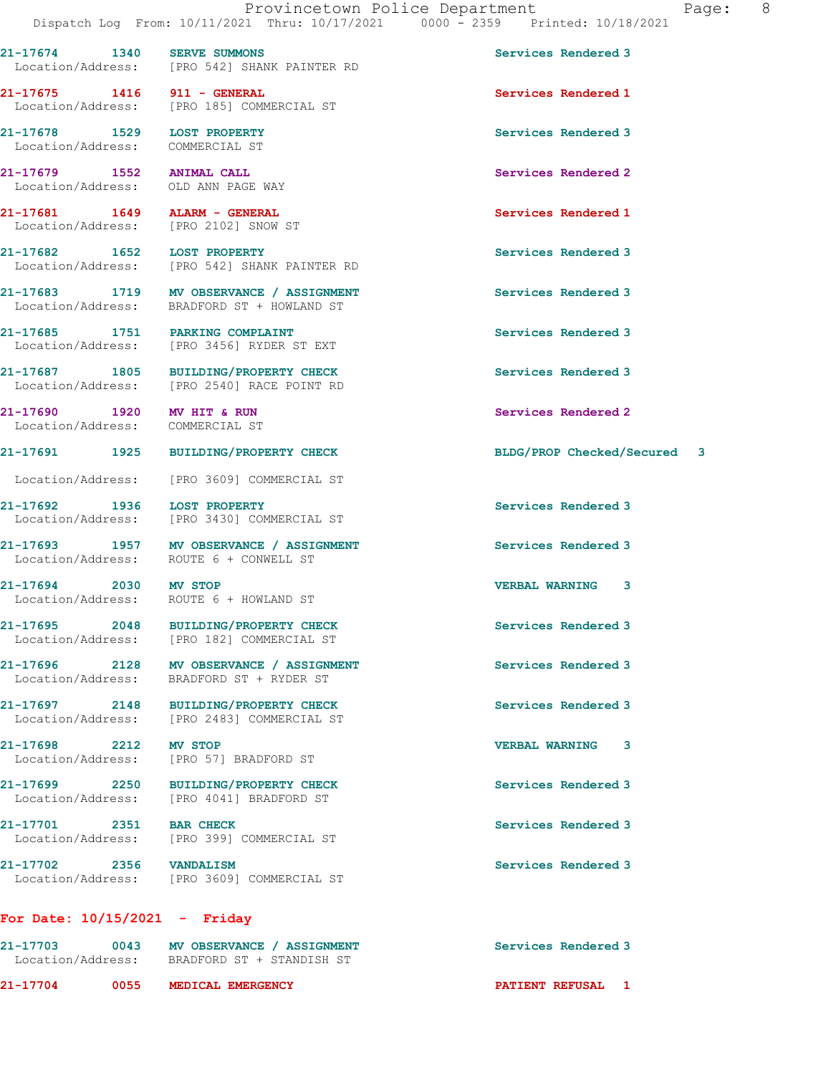21-17674 1340 SERVE SUMMONS Services Rendered 3 Location/Address: [PRO 542] SHANK PAINTER RD

21-17675 1416 911 - GENERAL Services Rendered 1 Location/Address: [PRO 185] COMMERCIAL ST

21-17678 1529 LOST PROPERTY Services Rendered 3 Location/Address: COMMERCIAL ST

21-17679 1552 ANIMAL CALL Services Rendered 2 Location/Address: OLD ANN PAGE WAY

21-17681 1649 ALARM - GENERAL Services Rendered 1

Location/Address: [PRO 542] SHANK PAINTER RD

21-17690 1920 MV HIT & RUN Services Rendered 2 Location/Address: COMMERCIAL ST

21-17692 1936 LOST PROPERTY Services Rendered 3

21-17697 2148 BUILDING/PROPERTY CHECK Services Rendered 3

21-17698 2212 MV STOP 2018 2212 MV STOP 2016 2017 VERBAL WARNING 3 Location/Address:

Location/Address: [PRO 2102] SNOW ST

21-17682 1652 LOST PROPERTY Services Rendered 3

21-17683 1719 MV OBSERVANCE / ASSIGNMENT Services Rendered 3 Location/Address: BRADFORD ST + HOWLAND ST

21-17685 1751 PARKING COMPLAINT Services Rendered 3 Location/Address: [PRO 3456] RYDER ST EXT

21-17687 1805 BUILDING/PROPERTY CHECK Services Rendered 3<br>
Location/Address: [PRO 2540] RACE POINT RD [PRO 2540] RACE POINT RD

Location/Address: [PRO 3609] COMMERCIAL ST

Location/Address: [PRO 3430] COMMERCIAL ST

21-17693 1957 MV OBSERVANCE / ASSIGNMENT Services Rendered 3<br>
Location/Address: ROUTE 6 + CONWELL ST ROUTE 6 + CONWELL ST

21-17694 2030 MV STOP VERBAL WARNING 3 Location/Address: ROUTE 6 + HOWLAND ST

21-17695 2048 BUILDING/PROPERTY CHECK Services Rendered 3 Location/Address: [PRO 182] COMMERCIAL ST

21-17696 2128 MV OBSERVANCE / ASSIGNMENT Services Rendered 3 Location/Address: BRADFORD ST + RYDER ST

Location/Address: [PRO 2483] COMMERCIAL ST

21-17699 2250 BUILDING/PROPERTY CHECK Services Rendered 3 Location/Address: [PRO 4041] BRADFORD ST

21-17701 2351 BAR CHECK Services Rendered 3 Location/Address: [PRO 399] COMMERCIAL ST

21-17702 2356 VANDALISM 2008 2009 2009 2009 2010 2021 Location/Address: [PRO 3609] COMMERCIAL ST

## For Date: 10/15/2021 - Friday

| 21-17704                      | 0055 | MEDICAL EMERGENCY                                       | <b>PATIENT REFUSAL</b> |
|-------------------------------|------|---------------------------------------------------------|------------------------|
| 21-17703<br>Location/Address: | 0043 | MV OBSERVANCE / ASSIGNMENT<br>BRADFORD ST + STANDISH ST | Services Rendered 3    |

21-17691 1925 BUILDING/PROPERTY CHECK BLDG/PROP Checked/Secured 3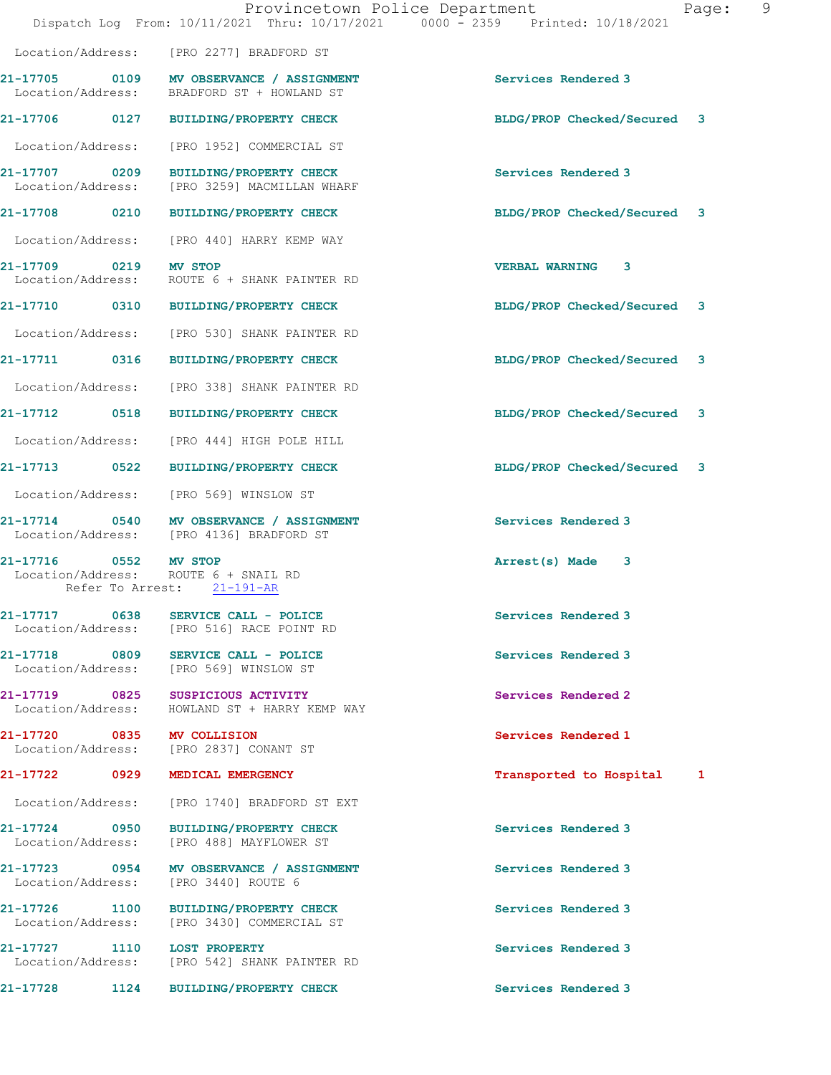|                                    |      | Provincetown Police Department<br>Dispatch Log From: 10/11/2021 Thru: 10/17/2021 0000 - 2359 Printed: 10/18/2021 |                             | 9<br>Page: |
|------------------------------------|------|------------------------------------------------------------------------------------------------------------------|-----------------------------|------------|
|                                    |      | Location/Address: [PRO 2277] BRADFORD ST                                                                         |                             |            |
|                                    |      | 21-17705 0109 MV OBSERVANCE / ASSIGNMENT<br>Location/Address: BRADFORD ST + HOWLAND ST                           | Services Rendered 3         |            |
|                                    |      | 21-17706 0127 BUILDING/PROPERTY CHECK                                                                            | BLDG/PROP Checked/Secured 3 |            |
|                                    |      | Location/Address: [PRO 1952] COMMERCIAL ST                                                                       |                             |            |
|                                    |      | 21-17707 0209 BUILDING/PROPERTY CHECK<br>Location/Address: [PRO 3259] MACMILLAN WHARF                            | Services Rendered 3         |            |
|                                    |      | 21-17708 0210 BUILDING/PROPERTY CHECK                                                                            | BLDG/PROP Checked/Secured 3 |            |
|                                    |      | Location/Address: [PRO 440] HARRY KEMP WAY                                                                       |                             |            |
| 21-17709 0219 MV STOP              |      | Location/Address: ROUTE 6 + SHANK PAINTER RD                                                                     | VERBAL WARNING 3            |            |
|                                    |      | 21-17710 0310 BUILDING/PROPERTY CHECK                                                                            | BLDG/PROP Checked/Secured 3 |            |
|                                    |      | Location/Address: [PRO 530] SHANK PAINTER RD                                                                     |                             |            |
|                                    |      | 21-17711 0316 BUILDING/PROPERTY CHECK                                                                            | BLDG/PROP Checked/Secured 3 |            |
|                                    |      | Location/Address: [PRO 338] SHANK PAINTER RD                                                                     |                             |            |
|                                    |      | 21-17712 0518 BUILDING/PROPERTY CHECK                                                                            | BLDG/PROP Checked/Secured 3 |            |
|                                    |      | Location/Address: [PRO 444] HIGH POLE HILL                                                                       |                             |            |
|                                    |      | 21-17713 0522 BUILDING/PROPERTY CHECK                                                                            | BLDG/PROP Checked/Secured 3 |            |
|                                    |      | Location/Address: [PRO 569] WINSLOW ST                                                                           |                             |            |
|                                    |      | 21-17714 0540 MV OBSERVANCE / ASSIGNMENT<br>Location/Address: [PRO 4136] BRADFORD ST                             | Services Rendered 3         |            |
| 21-17716 0552 MV STOP              |      | Location/Address: ROUTE 6 + SNAIL RD<br>Refer To Arrest: 21-191-AR                                               | Arrest(s) Made 3            |            |
| 21-17717 0638                      |      | SERVICE CALL - POLICE<br>Location/Address: [PRO 516] RACE POINT RD                                               | Services Rendered 3         |            |
|                                    |      | 21-17718 0809 SERVICE CALL - POLICE<br>Location/Address: [PRO 569] WINSLOW ST                                    | Services Rendered 3         |            |
|                                    |      | 21-17719 0825 SUSPICIOUS ACTIVITY<br>Location/Address: HOWLAND ST + HARRY KEMP WAY                               | Services Rendered 2         |            |
|                                    |      | 21-17720 0835 MV COLLISION<br>Location/Address: [PRO 2837] CONANT ST                                             | Services Rendered 1         |            |
|                                    |      | 21-17722 0929 MEDICAL EMERGENCY                                                                                  | Transported to Hospital 1   |            |
|                                    |      | Location/Address: [PRO 1740] BRADFORD ST EXT                                                                     |                             |            |
| 21-17724 0950<br>Location/Address: |      | BUILDING/PROPERTY CHECK<br>[PRO 488] MAYFLOWER ST                                                                | Services Rendered 3         |            |
| Location/Address:                  |      | 21-17723 0954 MV OBSERVANCE / ASSIGNMENT<br>[PRO 3440] ROUTE 6                                                   | Services Rendered 3         |            |
| 21-17726 1100                      |      | BUILDING/PROPERTY CHECK<br>Location/Address: [PRO 3430] COMMERCIAL ST                                            | Services Rendered 3         |            |
| 21-17727 1110 LOST PROPERTY        |      | Location/Address: [PRO 542] SHANK PAINTER RD                                                                     | Services Rendered 3         |            |
| 21-17728                           | 1124 | <b>BUILDING/PROPERTY CHECK</b>                                                                                   | Services Rendered 3         |            |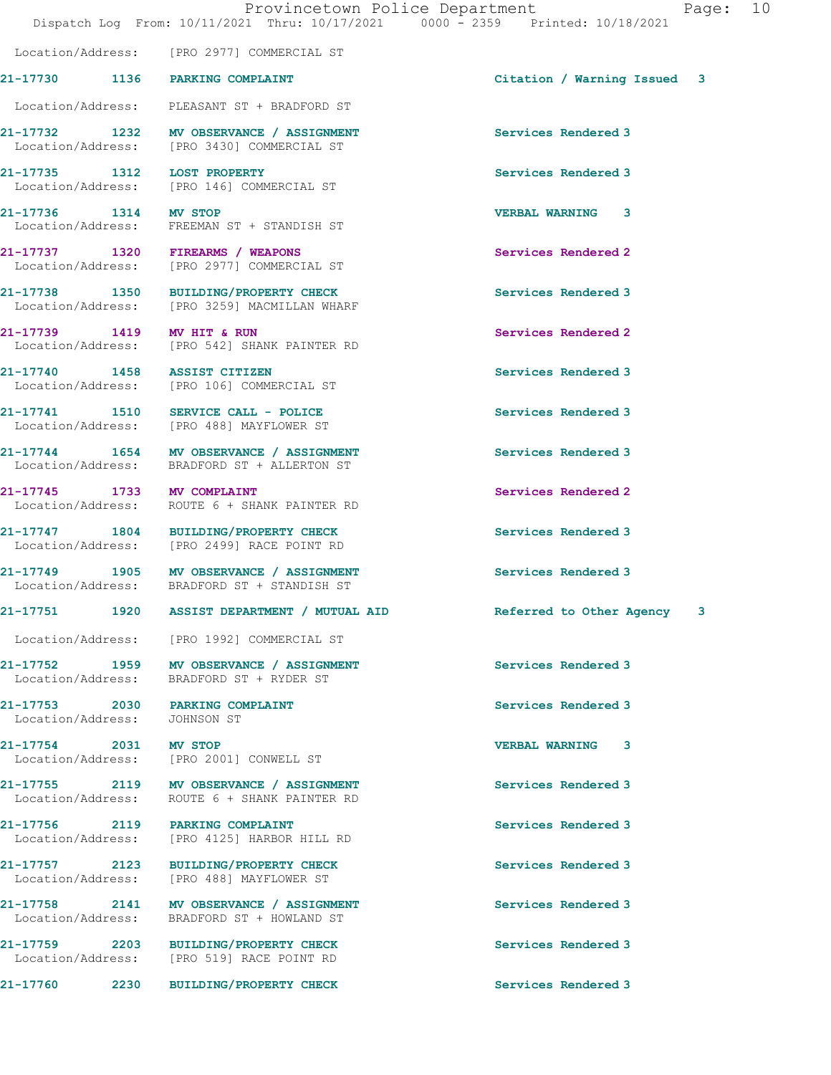Location/Address: PLEASANT ST + BRADFORD ST 21-17732 1232 MV OBSERVANCE / ASSIGNMENT Services Rendered 3

Location/Address: [PRO 2977] COMMERCIAL ST

21-17735 1312 LOST PROPERTY Services Rendered 3 Location/Address: [PRO 146] COMMERCIAL ST

21-17736 1314 MV STOP VERBAL WARNING 3 Location/Address: FREEMAN ST + STANDISH ST

21-17737 1320 FIREARMS / WEAPONS Services Rendered 2 Location/Address: [PRO 2977] COMMERCIAL ST

21-17738 1350 BUILDING/PROPERTY CHECK Services Rendered 3<br>
Location/Address: [PRO 3259] MACMILLAN WHARF [PRO 3259] MACMILLAN WHARF

21-17739 1419 MV HIT & RUN Services Rendered 2 Location/Address: [PRO 542] SHANK PAINTER RD

21-17740 1458 ASSIST CITIZEN Services Rendered 3 Location/Address: [PRO 106] COMMERCIAL ST

21-17741 1510 SERVICE CALL - POLICE Services Rendered 3 Location/Address: [PRO 488] MAYFLOWER ST

21-17744 1654 MV OBSERVANCE / ASSIGNMENT Services Rendered 3 Location/Address: BRADFORD ST + ALLERTON ST

21-17745 1733 MV COMPLAINT Services Rendered 2 Location/Address: ROUTE 6 + SHANK PAINTER RD

21-17747 1804 BUILDING/PROPERTY CHECK Services Rendered 3 Location/Address: [PRO 2499] RACE POINT RD

21-17749 1905 MV OBSERVANCE / ASSIGNMENT Services Rendered 3 Location/Address: BRADFORD ST + STANDISH ST

21-17751 1920 ASSIST DEPARTMENT / MUTUAL AID Referred to Other Agency 3

Location/Address: [PRO 1992] COMMERCIAL ST

21-17752 1959 MV OBSERVANCE / ASSIGNMENT Services Rendered 3 Location/Address: BRADFORD ST + RYDER ST

21-17754 2031 MV STOP 2001 2001 2003 VERBAL WARNING 3 [PRO 2001] CONWELL ST

21-17755 2119 MV OBSERVANCE / ASSIGNMENT Services Rendered 3 Location/Address: ROUTE 6 + SHANK PAINTER RD

21-17756 2119 PARKING COMPLAINT Services Rendered 3 Location/Address: [PRO 4125] HARBOR HILL RD

Location/Address: [PRO 488] MAYFLOWER ST

21-17758 2141 MV OBSERVANCE / ASSIGNMENT Services Rendered 3 Location/Address: BRADFORD ST + HOWLAND ST

21-17759 2203 BUILDING/PROPERTY CHECK Services Rendered 3

21-17760 2230 BUILDING/PROPERTY CHECK Services Rendered 3

21-17730 1136 PARKING COMPLAINT Citation / Warning Issued 3

Location/Address: [PRO 3430] COMMERCIAL ST

21-17753 2030 PARKING COMPLAINT Services Rendered 3 Location/Address: JOHNSON ST

21-17757 2123 BUILDING/PROPERTY CHECK Services Rendered 3

Location/Address: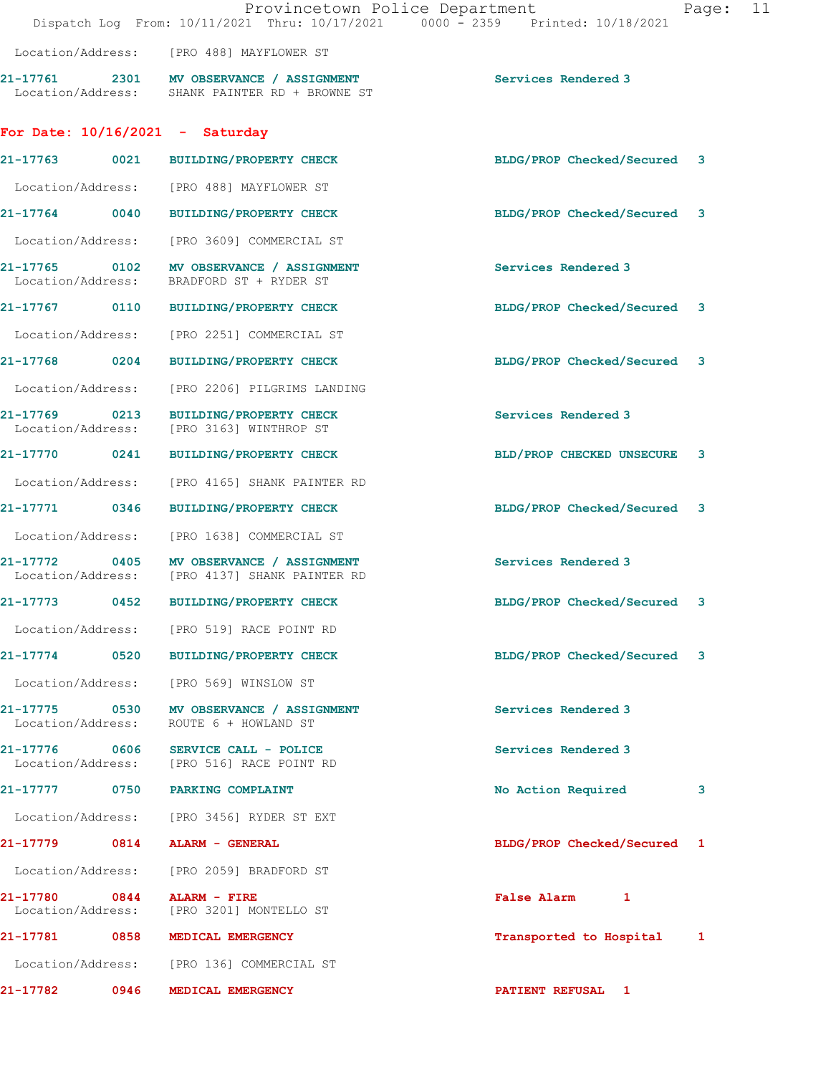|                   |      | Provincetown Police Department<br>Dispatch Log From: 10/11/2021 Thru: 10/17/2021 0000 - 2359 Printed: 10/18/2021 |                             | Page: | 11 |
|-------------------|------|------------------------------------------------------------------------------------------------------------------|-----------------------------|-------|----|
|                   |      | Location/Address: [PRO 488] MAYFLOWER ST                                                                         |                             |       |    |
|                   |      | 21-17761 2301 MV OBSERVANCE / ASSIGNMENT<br>Location/Address: SHANK PAINTER RD + BROWNE ST                       | Services Rendered 3         |       |    |
|                   |      | For Date: $10/16/2021$ - Saturday                                                                                |                             |       |    |
|                   |      | 21-17763 0021 BUILDING/PROPERTY CHECK                                                                            | BLDG/PROP Checked/Secured 3 |       |    |
|                   |      | Location/Address: [PRO 488] MAYFLOWER ST                                                                         |                             |       |    |
|                   |      | 21-17764 0040 BUILDING/PROPERTY CHECK                                                                            | BLDG/PROP Checked/Secured 3 |       |    |
|                   |      | Location/Address: [PRO 3609] COMMERCIAL ST                                                                       |                             |       |    |
| Location/Address: |      | 21-17765 0102 MV OBSERVANCE / ASSIGNMENT<br>BRADFORD ST + RYDER ST                                               | Services Rendered 3         |       |    |
|                   |      | 21-17767 0110 BUILDING/PROPERTY CHECK                                                                            | BLDG/PROP Checked/Secured 3 |       |    |
|                   |      | Location/Address: [PRO 2251] COMMERCIAL ST                                                                       |                             |       |    |
|                   |      | 21-17768 0204 BUILDING/PROPERTY CHECK                                                                            | BLDG/PROP Checked/Secured 3 |       |    |
|                   |      | Location/Address: [PRO 2206] PILGRIMS LANDING                                                                    |                             |       |    |
| Location/Address: |      | 21-17769 0213 BUILDING/PROPERTY CHECK<br>[PRO 3163] WINTHROP ST                                                  | Services Rendered 3         |       |    |
| 21-17770 0241     |      | BUILDING/PROPERTY CHECK                                                                                          | BLD/PROP CHECKED UNSECURE   | 3     |    |
|                   |      | Location/Address: [PRO 4165] SHANK PAINTER RD                                                                    |                             |       |    |
|                   |      | 21-17771 0346 BUILDING/PROPERTY CHECK                                                                            | BLDG/PROP Checked/Secured   | 3     |    |
|                   |      | Location/Address: [PRO 1638] COMMERCIAL ST                                                                       |                             |       |    |
|                   |      | 21-17772 0405 MV OBSERVANCE / ASSIGNMENT<br>Location/Address: [PRO 4137] SHANK PAINTER RD                        | Services Rendered 3         |       |    |
| 21-17773          | 0452 | <b>BUILDING/PROPERTY CHECK</b>                                                                                   | BLDG/PROP Checked/Secured   | 3     |    |
|                   |      | Location/Address: [PRO 519] RACE POINT RD                                                                        |                             |       |    |
|                   |      | 21-17774 0520 BUILDING/PROPERTY CHECK                                                                            | BLDG/PROP Checked/Secured 3 |       |    |
|                   |      | Location/Address: [PRO 569] WINSLOW ST                                                                           |                             |       |    |
|                   |      | 21-17775 0530 MV OBSERVANCE / ASSIGNMENT<br>Location/Address: ROUTE 6 + HOWLAND ST                               | Services Rendered 3         |       |    |
| 21-17776 0606     |      | SERVICE CALL - POLICE<br>Location/Address: [PRO 516] RACE POINT RD                                               | Services Rendered 3         |       |    |
|                   |      | 21-17777 0750 PARKING COMPLAINT                                                                                  | No Action Required          | 3     |    |
|                   |      | Location/Address: [PRO 3456] RYDER ST EXT                                                                        |                             |       |    |
|                   |      | 21-17779 0814 ALARM - GENERAL                                                                                    | BLDG/PROP Checked/Secured 1 |       |    |
|                   |      | Location/Address: [PRO 2059] BRADFORD ST                                                                         |                             |       |    |
| 21-17780 0844     |      | <b>ALARM - FIRE</b><br>Location/Address: [PRO 3201] MONTELLO ST                                                  | False Alarm 1               |       |    |
|                   |      | 21-17781 0858 MEDICAL EMERGENCY                                                                                  | Transported to Hospital 1   |       |    |
|                   |      | Location/Address: [PRO 136] COMMERCIAL ST                                                                        |                             |       |    |
|                   |      | 21-17782 0946 MEDICAL EMERGENCY                                                                                  | <b>PATIENT REFUSAL 1</b>    |       |    |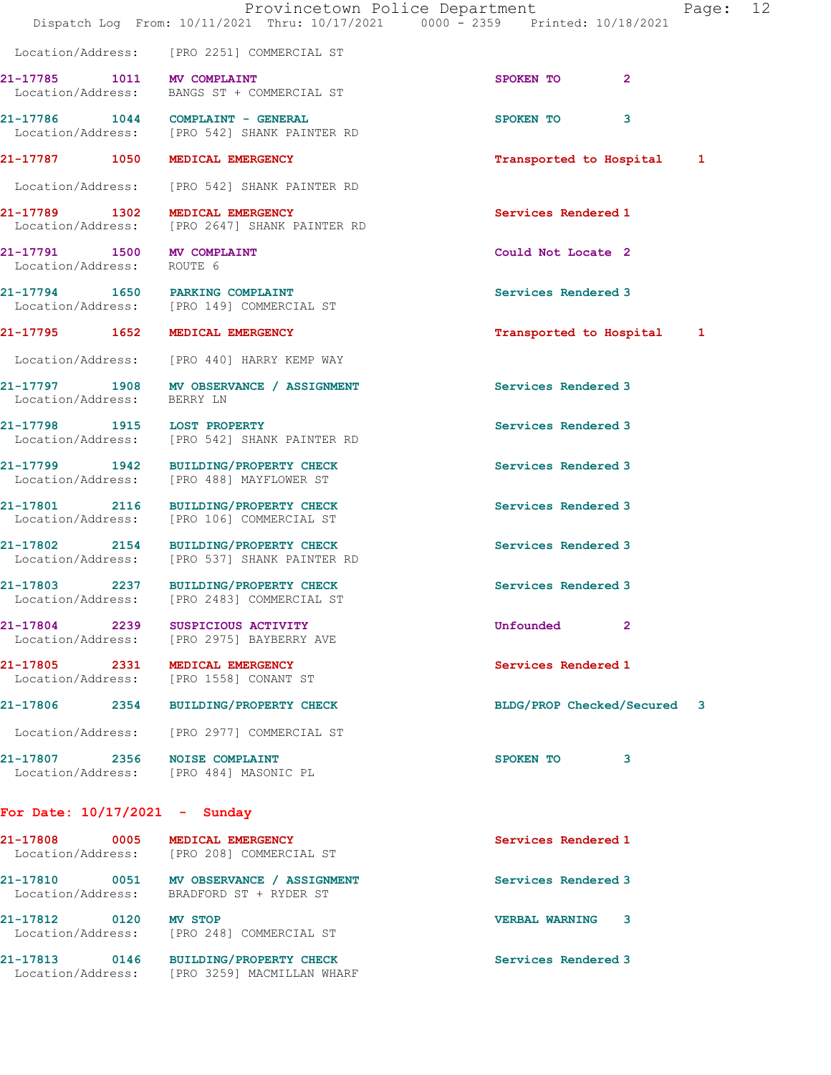|                                                         |                                                                                         | Page: 12<br>Provincetown Police Department<br>Dispatch Log From: 10/11/2021 Thru: 10/17/2021 0000 - 2359 Printed: 10/18/2021 |  |
|---------------------------------------------------------|-----------------------------------------------------------------------------------------|------------------------------------------------------------------------------------------------------------------------------|--|
|                                                         | Location/Address: [PRO 2251] COMMERCIAL ST                                              |                                                                                                                              |  |
| 21-17785 1011 MV COMPLAINT                              | Location/Address: BANGS ST + COMMERCIAL ST                                              | $\mathbf{2}$<br>SPOKEN TO                                                                                                    |  |
|                                                         | 21-17786    1044    COMPLAINT - GENERAL<br>Location/Address: [PRO 542] SHANK PAINTER RD | SPOKEN TO<br>3                                                                                                               |  |
| 21-17787 1050 MEDICAL EMERGENCY                         |                                                                                         | Transported to Hospital<br>1                                                                                                 |  |
|                                                         | Location/Address: [PRO 542] SHANK PAINTER RD                                            |                                                                                                                              |  |
| 21-17789 1302 MEDICAL EMERGENCY                         | Location/Address: [PRO 2647] SHANK PAINTER RD                                           | Services Rendered 1                                                                                                          |  |
| 21-17791 1500 MV COMPLAINT<br>Location/Address: ROUTE 6 |                                                                                         | Could Not Locate 2                                                                                                           |  |
| 21-17794 1650 PARKING COMPLAINT                         | Location/Address: [PRO 149] COMMERCIAL ST                                               | Services Rendered 3                                                                                                          |  |
| 21-17795 1652 MEDICAL EMERGENCY                         |                                                                                         | Transported to Hospital 1                                                                                                    |  |
|                                                         | Location/Address: [PRO 440] HARRY KEMP WAY                                              |                                                                                                                              |  |
| Location/Address:                                       | 21-17797 1908 MV OBSERVANCE / ASSIGNMENT<br>BERRY LN                                    | Services Rendered 3                                                                                                          |  |
| 21-17798 1915 LOST PROPERTY                             | Location/Address: [PRO 542] SHANK PAINTER RD                                            | Services Rendered 3                                                                                                          |  |
|                                                         | 21-17799 1942 BUILDING/PROPERTY CHECK<br>Location/Address: [PRO 488] MAYFLOWER ST       | Services Rendered 3                                                                                                          |  |
|                                                         | 21-17801 2116 BUILDING/PROPERTY CHECK<br>Location/Address: [PRO 106] COMMERCIAL ST      | Services Rendered 3                                                                                                          |  |
|                                                         | 21-17802 2154 BUILDING/PROPERTY CHECK<br>Location/Address: [PRO 537] SHANK PAINTER RD   | Services Rendered 3                                                                                                          |  |
| 21-17803 2237                                           | <b>BUILDING/PROPERTY CHECK</b><br>Location/Address: [PRO 2483] COMMERCIAL ST            | Services Rendered 3                                                                                                          |  |
| 21-17804 2239                                           | SUSPICIOUS ACTIVITY<br>Location/Address: [PRO 2975] BAYBERRY AVE                        | Unfounded<br>$\mathbf{2}$                                                                                                    |  |
| 21-17805 2331 MEDICAL EMERGENCY                         | Location/Address: [PRO 1558] CONANT ST                                                  | Services Rendered 1                                                                                                          |  |
|                                                         | 21-17806 2354 BUILDING/PROPERTY CHECK                                                   | BLDG/PROP Checked/Secured 3                                                                                                  |  |
|                                                         | Location/Address: [PRO 2977] COMMERCIAL ST                                              |                                                                                                                              |  |
| 21-17807 2356 NOISE COMPLAINT                           | Location/Address: [PRO 484] MASONIC PL                                                  | SPOKEN TO<br>3                                                                                                               |  |
| For Date: $10/17/2021$ - Sunday                         |                                                                                         |                                                                                                                              |  |
| 21-17808 0005 MEDICAL EMERGENCY                         | Location/Address: [PRO 208] COMMERCIAL ST                                               | Services Rendered 1                                                                                                          |  |
|                                                         | 21-17810 0051 MV OBSERVANCE / ASSIGNMENT<br>Location/Address: BRADFORD ST + RYDER ST    | Services Rendered 3                                                                                                          |  |

21-17812 0120 MV STOP 20 21-17812 Location/Address: [PRO 248] COMMERCIAL ST

21-17813 0146 BUILDING/PROPERTY CHECK Services Rendered 3

Location/Address: [PRO 3259] MACMILLAN WHARF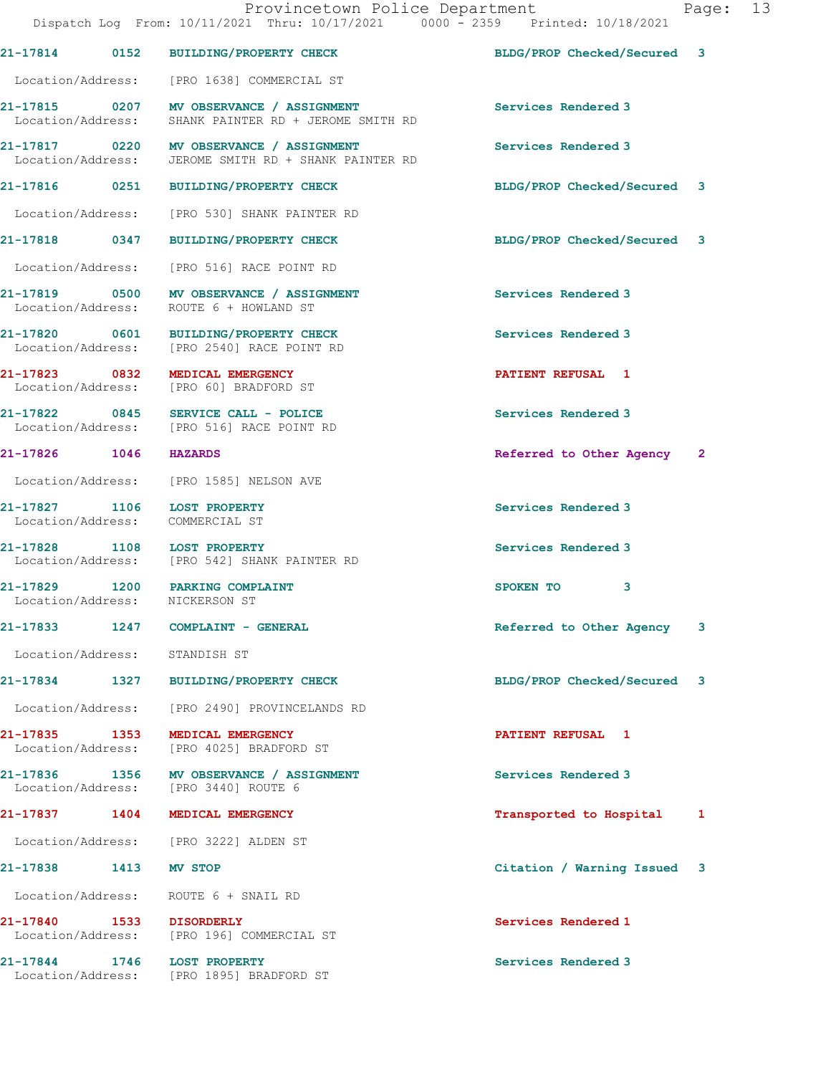|                       | Provincetown Police Department<br>Dispatch Log From: 10/11/2021 Thru: 10/17/2021 0000 - 2359 Printed: 10/18/2021 |                             | Page: 13 |  |
|-----------------------|------------------------------------------------------------------------------------------------------------------|-----------------------------|----------|--|
|                       | 21-17814 0152 BUILDING/PROPERTY CHECK BLDG/PROP Checked/Secured 3                                                |                             |          |  |
|                       | Location/Address: [PRO 1638] COMMERCIAL ST                                                                       |                             |          |  |
|                       | 21-17815 0207 MV OBSERVANCE / ASSIGNMENT<br>Location/Address: SHANK PAINTER RD + JEROME SMITH RD                 | Services Rendered 3         |          |  |
|                       | 21-17817 0220 MV OBSERVANCE / ASSIGNMENT<br>Location/Address: JEROME SMITH RD + SHANK PAINTER RD                 | Services Rendered 3         |          |  |
|                       | 21-17816 0251 BUILDING/PROPERTY CHECK                                                                            | BLDG/PROP Checked/Secured 3 |          |  |
|                       | Location/Address: [PRO 530] SHANK PAINTER RD                                                                     |                             |          |  |
|                       | 21-17818 0347 BUILDING/PROPERTY CHECK                                                                            | BLDG/PROP Checked/Secured 3 |          |  |
|                       | Location/Address: [PRO 516] RACE POINT RD                                                                        |                             |          |  |
|                       | 21-17819 0500 MV OBSERVANCE / ASSIGNMENT<br>Location/Address: ROUTE 6 + HOWLAND ST                               | Services Rendered 3         |          |  |
|                       | 21-17820 0601 BUILDING/PROPERTY CHECK<br>Location/Address: [PRO 2540] RACE POINT RD                              | Services Rendered 3         |          |  |
|                       | 21-17823 0832 MEDICAL EMERGENCY<br>Location/Address: [PRO 60] BRADFORD ST                                        | <b>PATIENT REFUSAL 1</b>    |          |  |
|                       | 21-17822 0845 SERVICE CALL - POLICE<br>Location/Address: [PRO 516] RACE POINT RD                                 | Services Rendered 3         |          |  |
| 21-17826 1046 HAZARDS |                                                                                                                  | Referred to Other Agency 2  |          |  |
|                       | Location/Address: [PRO 1585] NELSON AVE                                                                          |                             |          |  |
|                       | 21-17827 1106 LOST PROPERTY<br>Location/Address: COMMERCIAL ST                                                   | Services Rendered 3         |          |  |
|                       | 21-17828 1108 LOST PROPERTY<br>Location/Address: [PRO 542] SHANK PAINTER RD                                      | Services Rendered 3         |          |  |
|                       | 21-17829 1200 PARKING COMPLAINT<br>Location/Address: NICKERSON ST                                                | SPOKEN TO<br>3              |          |  |
|                       | 21-17833 1247 COMPLAINT - GENERAL                                                                                | Referred to Other Agency    | 3        |  |
|                       | Location/Address: STANDISH ST                                                                                    |                             |          |  |
|                       | 21-17834 1327 BUILDING/PROPERTY CHECK                                                                            | BLDG/PROP Checked/Secured 3 |          |  |
|                       | Location/Address: [PRO 2490] PROVINCELANDS RD                                                                    |                             |          |  |
| 21-17835 1353         | <b>MEDICAL EMERGENCY</b><br>Location/Address: [PRO 4025] BRADFORD ST                                             | <b>PATIENT REFUSAL 1</b>    |          |  |
|                       | 21-17836 1356 MV OBSERVANCE / ASSIGNMENT<br>Location/Address: [PRO 3440] ROUTE 6                                 | Services Rendered 3         |          |  |
|                       | 21-17837 1404 MEDICAL EMERGENCY                                                                                  | Transported to Hospital 1   |          |  |
|                       | Location/Address: [PRO 3222] ALDEN ST                                                                            |                             |          |  |
| 21-17838 1413 MV STOP |                                                                                                                  | Citation / Warning Issued 3 |          |  |
|                       | Location/Address: ROUTE 6 + SNAIL RD                                                                             |                             |          |  |
|                       | 21-17840 1533 DISORDERLY<br>Location/Address: [PRO 196] COMMERCIAL ST                                            | Services Rendered 1         |          |  |
|                       | 21-17844 1746 LOST PROPERTY<br>Location/Address: [PRO 1895] BRADFORD ST                                          | Services Rendered 3         |          |  |